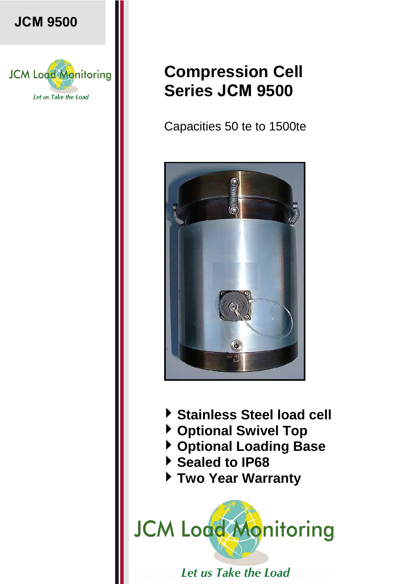

**JCM 9500** 

## **Compression Cell Series JCM 9500**

Capacities 50 te to 1500te



- **Stainless Steel load cell**
- **Optional Swivel Top**
- **Optional Loading Base**
- **Sealed to IP68**
- **Two Year Warranty**